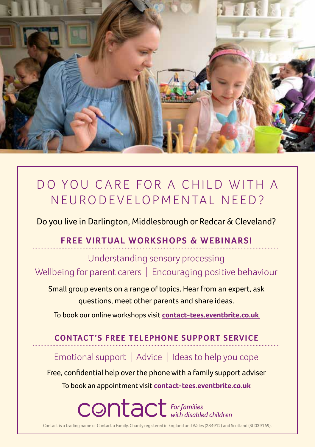

# DO YOU CARE FOR A CHILD WITH A N EU RODE VELOPMENTAL NEED?

Do you live in Darlington, Middlesbrough or Redcar & Cleveland?

### **FREE VIRTUAL WORKSHOPS & WEBINARS!**

Understanding sensory processing Wellbeing for parent carers | Encouraging positive behaviour

Small group events on a range of topics. Hear from an expert, ask questions, meet other parents and share ideas.

To book our online workshops visit **[contact-tees.eventbrite.co.uk](https://www.eventbrite.co.uk/o/contact-32919852105)** 

### **CONTACT'S FREE TELEPHONE SUPPORT SERVICE**

Emotional support | Advice | Ideas to help you cope

Free, confidential help over the phone with a family support adviser To book an appointment visit **[contact-tees.eventbrite.co.uk](https://www.eventbrite.co.uk/o/contact-32919852105)**

**CONTACT** For families

Contact is a trading name of Contact a Family. Charity registered in England and Wales (284912) and Scotland (SC039169).